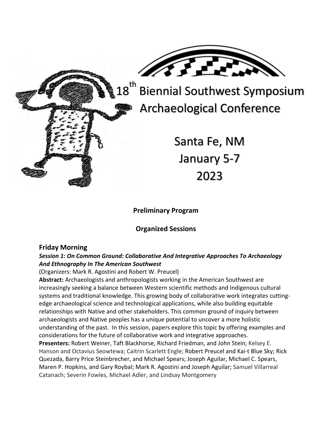

18<sup>th</sup> Biennial Southwest Symposium Archaeological Conference

> Santa Fe, NM January 5-7 2023

### **Preliminary Program**

## **Organized Sessions**

#### **Friday Morning**

#### *Session 1: On Common Ground: Collaborative And Integrative Approaches To Archaeology And Ethnography In The American Southwest*

(Organizers: Mark R. Agostini and Robert W. Preucel)

**Abstract:** Archaeologists and anthropologists working in the American Southwest are increasingly seeking a balance between Western scientific methods and Indigenous cultural systems and traditional knowledge. This growing body of collaborative work integrates cuttingedge archaeological science and technological applications, while also building equitable relationships with Native and other stakeholders. This common ground of inquiry between archaeologists and Native peoples has a unique potential to uncover a more holistic understanding of the past. In this session, papers explore this topic by offering examples and considerations for the future of collaborative work and integrative approaches. **Presenters:** Robert Weiner, Taft Blackhorse, Richard Friedman, and John Stein; Kelsey E. Hanson and Octavius Seowtewa; Caitrin Scarlett Engle; Robert Preucel and Kai-t Blue Sky; Rick Quezada, Barry Price Steinbrecher, and Michael Spears; Joseph Aguilar, Michael C. Spears, Maren P. Hopkins, and Gary Roybal; Mark R. Agostini and Joseph Aguilar; Samuel Villarreal

Catanach; Severin Fowles, Michael Adler, and Lindsay Montgomery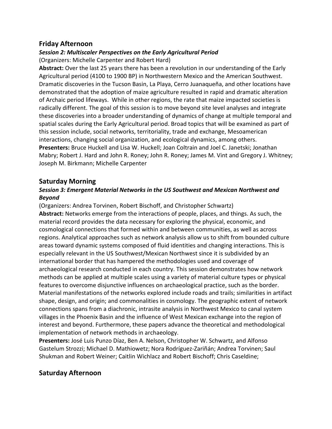## **Friday Afternoon**

# *Session 2: Multiscaler Perspectives on the Early Agricultural Period*

(Organizers: Michelle Carpenter and Robert Hard)

**Abstract:** Over the last 25 years there has been a revolution in our understanding of the Early Agricultural period (4100 to 1900 BP) in Northwestern Mexico and the American Southwest. Dramatic discoveries in the Tucson Basin, La Playa, Cerro Juanaqueña, and other locations have demonstrated that the adoption of maize agriculture resulted in rapid and dramatic alteration of Archaic period lifeways. While in other regions, the rate that maize impacted societies is radically different. The goal of this session is to move beyond site level analyses and integrate these discoveries into a broader understanding of dynamics of change at multiple temporal and spatial scales during the Early Agricultural period. Broad topics that will be examined as part of this session include, social networks, territoriality, trade and exchange, Mesoamerican interactions, changing social organization, and ecological dynamics, among others. **Presenters:** Bruce Huckell and Lisa W. Huckell; Joan Coltrain and Joel C. Janetski; Jonathan Mabry; Robert J. Hard and John R. Roney; John R. Roney; James M. Vint and Gregory J. Whitney; Joseph M. Birkmann; Michelle Carpenter

## **Saturday Morning**

### *Session 3: Emergent Material Networks in the US Southwest and Mexican Northwest and Beyond*

(Organizers: Andrea Torvinen, Robert Bischoff, and Christopher Schwartz) **Abstract:** Networks emerge from the interactions of people, places, and things. As such, the material record provides the data necessary for exploring the physical, economic, and cosmological connections that formed within and between communities, as well as across regions. Analytical approaches such as network analysis allow us to shift from bounded culture areas toward dynamic systems composed of fluid identities and changing interactions. This is especially relevant in the US Southwest/Mexican Northwest since it is subdivided by an international border that has hampered the methodologies used and coverage of archaeological research conducted in each country. This session demonstrates how network methods can be applied at multiple scales using a variety of material culture types or physical features to overcome disjunctive influences on archaeological practice, such as the border. Material manifestations of the networks explored include roads and trails; similarities in artifact shape, design, and origin; and commonalities in cosmology. The geographic extent of network connections spans from a diachronic, intrasite analysis in Northwest Mexico to canal system villages in the Phoenix Basin and the influence of West Mexican exchange into the region of interest and beyond. Furthermore, these papers advance the theoretical and methodological implementation of network methods in archaeology.

**Presenters:** José Luis Punzo Díaz, Ben A. Nelson, Christopher W. Schwartz, and Alfonso Gastelum Strozzi; Michael D. Mathiowetz; Nora Rodríguez-Zariñán; Andrea Torvinen; Saul Shukman and Robert Weiner; Caitlin Wichlacz and Robert Bischoff; Chris Caseldine;

# **Saturday Afternoon**